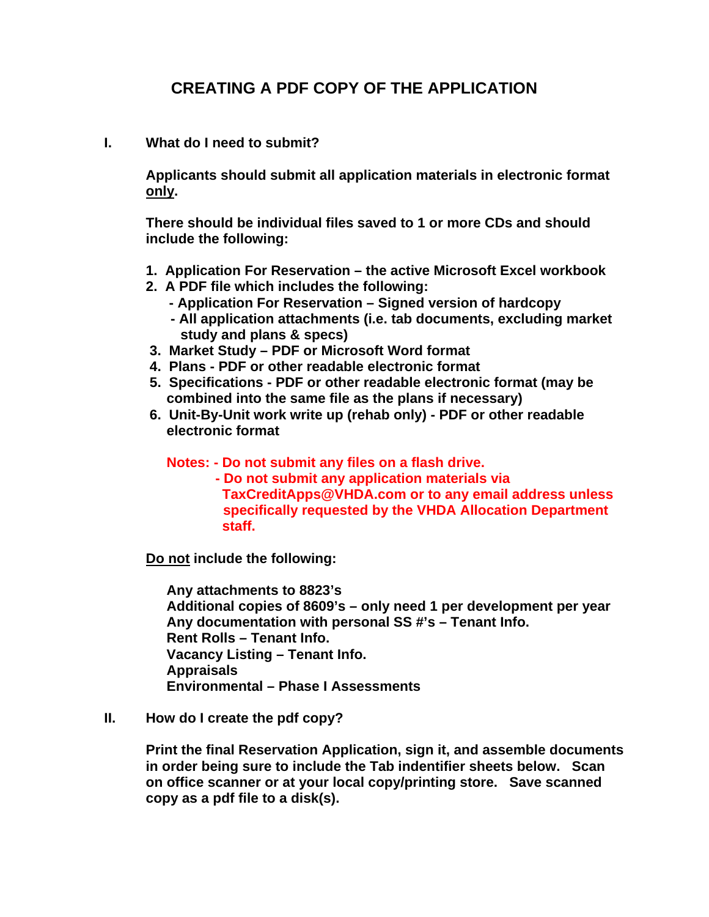## **CREATING A PDF COPY OF THE APPLICATION**

**I. What do I need to submit?** 

**Applicants should submit all application materials in electronic format only.** 

**There should be individual files saved to 1 or more CDs and should include the following:** 

- **1. Application For Reservation the active Microsoft Excel workbook**
- **2. A PDF file which includes the following:** 
	- **Application For Reservation Signed version of hardcopy**
	- **All application attachments (i.e. tab documents, excluding market study and plans & specs)**
- **3. Market Study PDF or Microsoft Word format**
- **4. Plans PDF or other readable electronic format**
- **5. Specifications PDF or other readable electronic format (may be combined into the same file as the plans if necessary)**
- **6. Unit-By-Unit work write up (rehab only) PDF or other readable electronic format**

**Notes: - Do not submit any files on a flash drive.** 

**- Do not submit any application materials via TaxCreditApps@VHDA.com or to any email address unless specifically requested by the VHDA Allocation Department staff.** 

**Do not include the following:** 

**Any attachments to 8823's Additional copies of 8609's – only need 1 per development per year Any documentation with personal SS #'s – Tenant Info. Rent Rolls – Tenant Info. Vacancy Listing – Tenant Info. Appraisals Environmental – Phase I Assessments** 

**II. How do I create the pdf copy?** 

**Print the final Reservation Application, sign it, and assemble documents in order being sure to include the Tab indentifier sheets below. Scan on office scanner or at your local copy/printing store. Save scanned copy as a pdf file to a disk(s).**